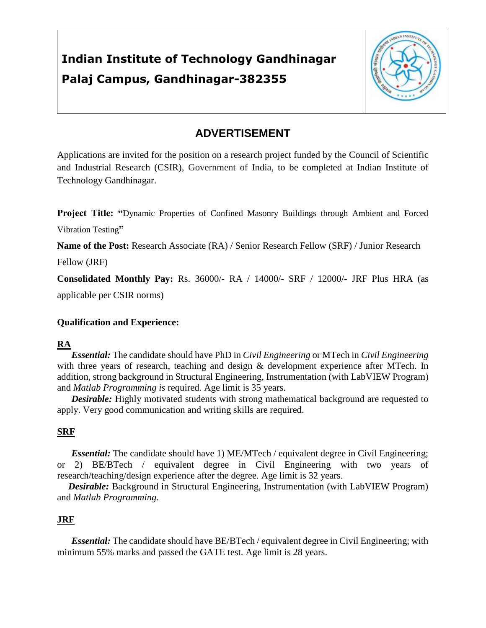# **Indian Institute of Technology Gandhinagar Palaj Campus, Gandhinagar-382355**



### **ADVERTISEMENT**

Applications are invited for the position on a research project funded by the Council of Scientific and Industrial Research (CSIR), Government of India, to be completed at Indian Institute of Technology Gandhinagar.

**Project Title: "**Dynamic Properties of Confined Masonry Buildings through Ambient and Forced Vibration Testing**"**

**Name of the Post:** Research Associate (RA) / Senior Research Fellow (SRF) / Junior Research

Fellow (JRF)

**Consolidated Monthly Pay:** Rs. 36000/- RA / 14000/- SRF / 12000/- JRF Plus HRA (as applicable per CSIR norms)

#### **Qualification and Experience:**

#### **RA**

*Essential:* The candidate should have PhD in *Civil Engineering* or MTech in *Civil Engineering* with three years of research, teaching and design & development experience after MTech. In addition, strong background in Structural Engineering, Instrumentation (with LabVIEW Program) and *Matlab Programming is* required. Age limit is 35 years.

*Desirable:* Highly motivated students with strong mathematical background are requested to apply. Very good communication and writing skills are required.

#### **SRF**

*Essential:* The candidate should have 1) ME/MTech / equivalent degree in Civil Engineering; or 2) BE/BTech / equivalent degree in Civil Engineering with two years of research/teaching/design experience after the degree. Age limit is 32 years.

*Desirable:* Background in Structural Engineering, Instrumentation (with LabVIEW Program) and *Matlab Programming.*

#### **JRF**

*Essential:* The candidate should have BE/BTech / equivalent degree in Civil Engineering; with minimum 55% marks and passed the GATE test. Age limit is 28 years.